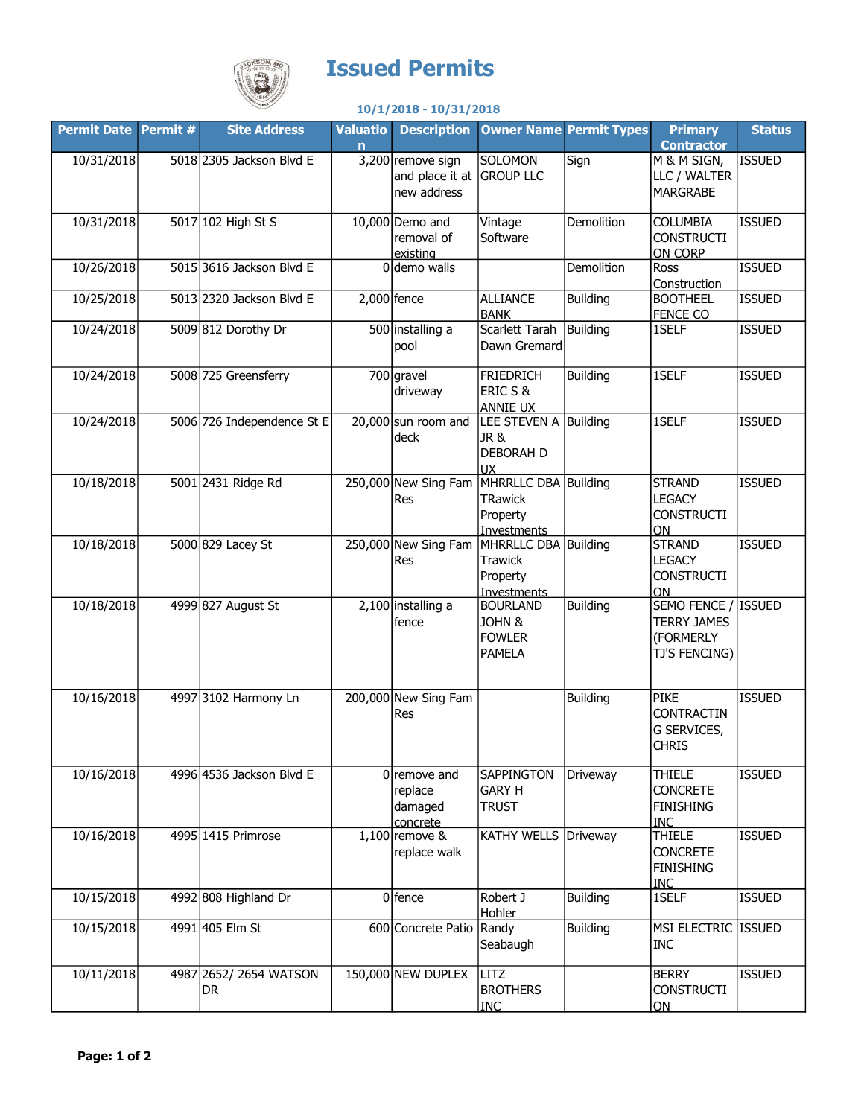

## Issued Permits

## 10/1/2018 - 10/31/2018

| <b>Permit Date Permit #</b> | <b>Site Address</b>           | <b>Valuatio</b><br>$\overline{ }$ | <b>Description</b>                                  |                                                                   | <b>Owner Name Permit Types</b> | <b>Primary</b><br><b>Contractor</b>                                     | <b>Status</b> |
|-----------------------------|-------------------------------|-----------------------------------|-----------------------------------------------------|-------------------------------------------------------------------|--------------------------------|-------------------------------------------------------------------------|---------------|
| 10/31/2018                  | 5018 2305 Jackson Blvd E      |                                   | 3,200 remove sign<br>and place it at<br>new address | SOLOMON<br><b>GROUP LLC</b>                                       | Sign                           | M & M SIGN,<br>LLC / WALTER<br><b>MARGRABE</b>                          | <b>ISSUED</b> |
| 10/31/2018                  | 5017 102 High St S            |                                   | $10,000$ Demo and<br>removal of<br>existing         | Vintage<br>Software                                               | Demolition                     | <b>COLUMBIA</b><br><b>CONSTRUCTI</b><br>ON CORP                         | <b>ISSUED</b> |
| 10/26/2018                  | 5015 3616 Jackson Blvd E      |                                   | $0$ demo walls                                      |                                                                   | Demolition                     | Ross<br>Construction                                                    | <b>ISSUED</b> |
| 10/25/2018                  | 5013 2320 Jackson Blvd E      |                                   | $2,000$ fence                                       | <b>ALLIANCE</b><br><b>BANK</b>                                    | <b>Building</b>                | <b>BOOTHEEL</b><br><b>FENCE CO</b>                                      | <b>ISSUED</b> |
| 10/24/2018                  | 5009 812 Dorothy Dr           |                                   | 500 installing a<br>pool                            | Scarlett Tarah<br>Dawn Gremard                                    | Building                       | 1SELF                                                                   | <b>ISSUED</b> |
| 10/24/2018                  | 5008 725 Greensferry          |                                   | $700$ gravel<br>driveway                            | <b>FRIEDRICH</b><br>ERIC S &<br><b>ANNIE UX</b>                   | <b>Building</b>                | 1SELF                                                                   | <b>ISSUED</b> |
| 10/24/2018                  | 5006 726 Independence St E    |                                   | $20,000$ sun room and<br>deck                       | LEE STEVEN A Building<br>JR &<br><b>DEBORAH D</b><br><b>UX</b>    |                                | 1SELF                                                                   | <b>ISSUED</b> |
| 10/18/2018                  | 5001 2431 Ridge Rd            |                                   | 250,000 New Sing Fam<br>Res                         | MHRRLLC DBA Building<br><b>TRawick</b><br>Property<br>Investments |                                | <b>STRAND</b><br><b>LEGACY</b><br><b>CONSTRUCTI</b><br>ON               | <b>ISSUED</b> |
| 10/18/2018                  | 5000 829 Lacey St             |                                   | 250,000 New Sing Fam<br>Res                         | MHRRLLC DBA Building<br>Trawick<br>Property<br><b>Investments</b> |                                | <b>STRAND</b><br><b>LEGACY</b><br><b>CONSTRUCTI</b><br>ON               | <b>ISSUED</b> |
| 10/18/2018                  | 4999 827 August St            |                                   | $2,100$ installing a<br>fence                       | <b>BOURLAND</b><br>JOHN &<br><b>FOWLER</b><br><b>PAMELA</b>       | <b>Building</b>                | SEMO FENCE / ISSUED<br><b>TERRY JAMES</b><br>(FORMERLY<br>TJ'S FENCING) |               |
| 10/16/2018                  | 4997 3102 Harmony Ln          |                                   | 200,000 New Sing Fam<br>Res                         |                                                                   | <b>Building</b>                | <b>PIKE</b><br><b>CONTRACTIN</b><br>G SERVICES,<br><b>CHRIS</b>         | <b>ISSUED</b> |
| 10/16/2018                  | 4996 4536 Jackson Blvd E      |                                   | $0$  remove and<br>replace<br>damaged<br>concrete   | <b>SAPPINGTON</b><br><b>GARY H</b><br><b>TRUST</b>                | Driveway                       | <b>THIELE</b><br><b>CONCRETE</b><br><b>FINISHING</b><br>INC             | <b>ISSUED</b> |
| 10/16/2018                  | 4995 1415 Primrose            |                                   | $1,100$ remove &<br>replace walk                    | KATHY WELLS Driveway                                              |                                | <b>THIELE</b><br><b>CONCRETE</b><br><b>FINISHING</b><br><b>INC</b>      | <b>ISSUED</b> |
| 10/15/2018                  | 4992 808 Highland Dr          |                                   | $0$ fence                                           | Robert J<br>Hohler                                                | <b>Building</b>                | 1SELF                                                                   | <b>ISSUED</b> |
| 10/15/2018                  | 4991 405 Elm St               |                                   | 600 Concrete Patio Randy                            | Seabaugh                                                          | <b>Building</b>                | MSI ELECTRIC ISSUED<br><b>INC</b>                                       |               |
| 10/11/2018                  | 4987 2652/ 2654 WATSON<br>DR. |                                   | 150,000 NEW DUPLEX                                  | LITZ<br><b>BROTHERS</b><br><b>INC</b>                             |                                | <b>BERRY</b><br><b>CONSTRUCTI</b><br>ON                                 | <b>ISSUED</b> |